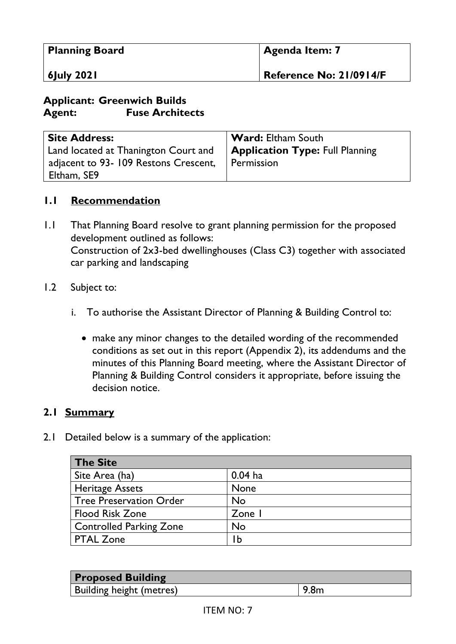| <b>Planning Board</b> | <b>Agenda Item: 7</b>   |
|-----------------------|-------------------------|
| 6July 2021            | Reference No: 21/0914/F |

# **Applicant: Greenwich Builds Agent: Fuse Architects**

| <b>Site Address:</b>                 | <b>Ward:</b> Eltham South              |
|--------------------------------------|----------------------------------------|
| Land located at Thanington Court and | <b>Application Type: Full Planning</b> |
| adjacent to 93-109 Restons Crescent, | Permission                             |
| Eltham, SE9                          |                                        |

#### **1.1 Recommendation**

- 1.1 That Planning Board resolve to grant planning permission for the proposed development outlined as follows: Construction of 2x3-bed dwellinghouses (Class C3) together with associated car parking and landscaping
- 1.2 Subject to:
	- i. To authorise the Assistant Director of Planning & Building Control to:
		- make any minor changes to the detailed wording of the recommended conditions as set out in this report (Appendix 2), its addendums and the minutes of this Planning Board meeting, where the Assistant Director of Planning & Building Control considers it appropriate, before issuing the decision notice.

#### **2.1 Summary**

2.1 Detailed below is a summary of the application:

| <b>The Site</b>                |             |
|--------------------------------|-------------|
| Site Area (ha)                 | $0.04$ ha   |
| <b>Heritage Assets</b>         | <b>None</b> |
| <b>Tree Preservation Order</b> | No          |
| <b>Flood Risk Zone</b>         | Zone I      |
| <b>Controlled Parking Zone</b> | <b>No</b>   |
| <b>PTAL Zone</b>               | ١b          |

| <b>Proposed Building</b> |      |
|--------------------------|------|
| Building height (metres) | 9.8m |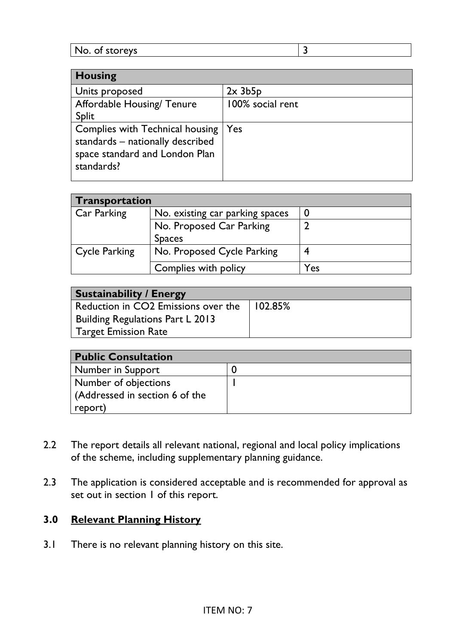| <b>Housing</b>                   |                  |
|----------------------------------|------------------|
| Units proposed                   | $2x$ 3b5 $p$     |
| Affordable Housing/ Tenure       | 100% social rent |
| Split                            |                  |
| Complies with Technical housing  | Yes              |
| standards - nationally described |                  |
| space standard and London Plan   |                  |
| standards?                       |                  |
|                                  |                  |

| Transportation |                                           |     |
|----------------|-------------------------------------------|-----|
| Car Parking    | No. existing car parking spaces           |     |
|                | No. Proposed Car Parking<br><b>Spaces</b> |     |
| Cycle Parking  | No. Proposed Cycle Parking                |     |
|                | Complies with policy                      | Yes |

| <b>Sustainability / Energy</b>          |         |  |
|-----------------------------------------|---------|--|
| Reduction in CO2 Emissions over the     | 102.85% |  |
| <b>Building Regulations Part L 2013</b> |         |  |
| <b>Target Emission Rate</b>             |         |  |

| <b>Public Consultation</b>     |  |  |
|--------------------------------|--|--|
| Number in Support              |  |  |
| Number of objections           |  |  |
| (Addressed in section 6 of the |  |  |
| report)                        |  |  |

- 2.2 The report details all relevant national, regional and local policy implications of the scheme, including supplementary planning guidance.
- 2.3 The application is considered acceptable and is recommended for approval as set out in section 1 of this report.

# **3.0 Relevant Planning History**

3.1 There is no relevant planning history on this site.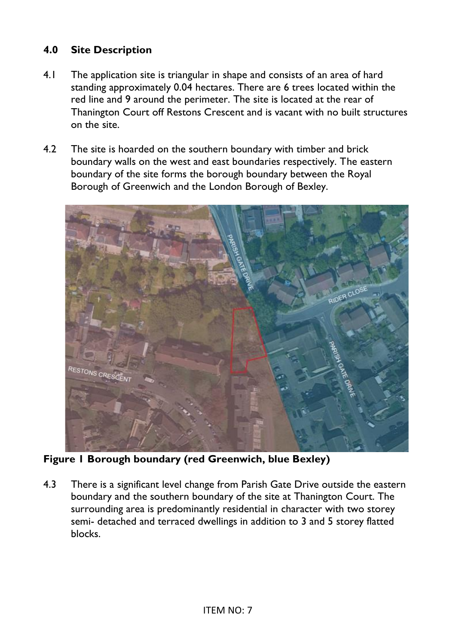# **4.0 Site Description**

- 4.1 The application site is triangular in shape and consists of an area of hard standing approximately 0.04 hectares. There are 6 trees located within the red line and 9 around the perimeter. The site is located at the rear of Thanington Court off Restons Crescent and is vacant with no built structures on the site.
- 4.2 The site is hoarded on the southern boundary with timber and brick boundary walls on the west and east boundaries respectively. The eastern boundary of the site forms the borough boundary between the Royal Borough of Greenwich and the London Borough of Bexley.



**Figure 1 Borough boundary (red Greenwich, blue Bexley)** 

4.3 There is a significant level change from Parish Gate Drive outside the eastern boundary and the southern boundary of the site at Thanington Court. The surrounding area is predominantly residential in character with two storey semi- detached and terraced dwellings in addition to 3 and 5 storey flatted blocks.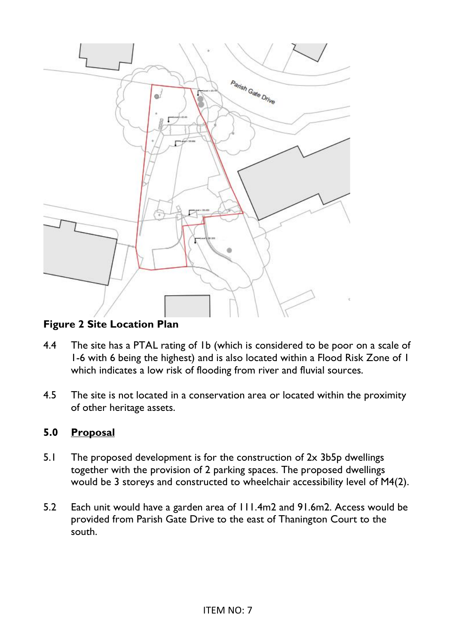

# **Figure 2 Site Location Plan**

- 4.4 The site has a PTAL rating of 1b (which is considered to be poor on a scale of 1-6 with 6 being the highest) and is also located within a Flood Risk Zone of 1 which indicates a low risk of flooding from river and fluvial sources.
- 4.5 The site is not located in a conservation area or located within the proximity of other heritage assets.

# **5.0 Proposal**

- 5.1 The proposed development is for the construction of 2x 3b5p dwellings together with the provision of 2 parking spaces. The proposed dwellings would be 3 storeys and constructed to wheelchair accessibility level of M4(2).
- 5.2 Each unit would have a garden area of 111.4m2 and 91.6m2. Access would be provided from Parish Gate Drive to the east of Thanington Court to the south.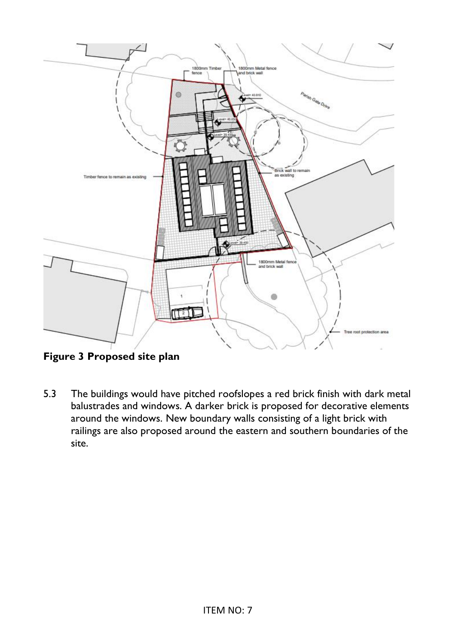

**Figure 3 Proposed site plan** 

5.3 The buildings would have pitched roofslopes a red brick finish with dark metal balustrades and windows. A darker brick is proposed for decorative elements around the windows. New boundary walls consisting of a light brick with railings are also proposed around the eastern and southern boundaries of the site.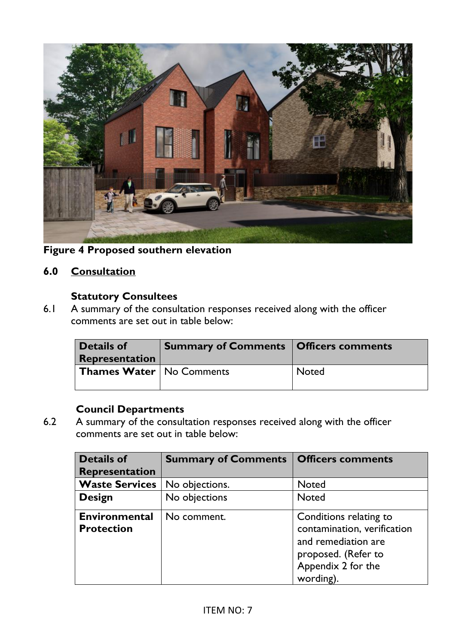

**Figure 4 Proposed southern elevation** 

# **6.0 Consultation**

#### **Statutory Consultees**

6.1 A summary of the consultation responses received along with the officer comments are set out in table below:

| <b>Details of</b><br><b>Representation</b> | <b>Summary of Comments   Officers comments</b> |              |
|--------------------------------------------|------------------------------------------------|--------------|
| <b>Thames Water   No Comments</b>          |                                                | <b>Noted</b> |

**Council Departments**<br>**6.2** A summary of the consult A summary of the consultation responses received along with the officer comments are set out in table below:

| <b>Details of</b>                         | <b>Summary of Comments   Officers comments</b> |                                                                                                                                        |
|-------------------------------------------|------------------------------------------------|----------------------------------------------------------------------------------------------------------------------------------------|
| Representation                            |                                                |                                                                                                                                        |
| <b>Waste Services</b>                     | No objections.                                 | <b>Noted</b>                                                                                                                           |
| <b>Design</b>                             | No objections                                  | <b>Noted</b>                                                                                                                           |
| <b>Environmental</b><br><b>Protection</b> | No comment.                                    | Conditions relating to<br>contamination, verification<br>and remediation are<br>proposed. (Refer to<br>Appendix 2 for the<br>wording). |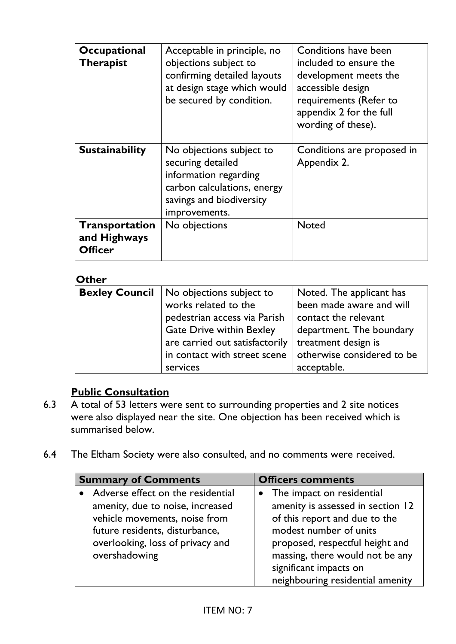| Occupational<br><b>Therapist</b>                 | Acceptable in principle, no<br>objections subject to<br>confirming detailed layouts<br>at design stage which would<br>be secured by condition.     | Conditions have been<br>included to ensure the<br>development meets the<br>accessible design<br>requirements (Refer to<br>appendix 2 for the full<br>wording of these). |
|--------------------------------------------------|----------------------------------------------------------------------------------------------------------------------------------------------------|-------------------------------------------------------------------------------------------------------------------------------------------------------------------------|
| <b>Sustainability</b>                            | No objections subject to<br>securing detailed<br>information regarding<br>carbon calculations, energy<br>savings and biodiversity<br>improvements. | Conditions are proposed in<br>Appendix 2.                                                                                                                               |
| Transportation<br>and Highways<br><b>Officer</b> | No objections                                                                                                                                      | <b>Noted</b>                                                                                                                                                            |

# **Other**

| <b>Bexley Council</b>   No objections subject to | Noted. The applicant has   |
|--------------------------------------------------|----------------------------|
| works related to the                             | been made aware and will   |
| pedestrian access via Parish                     | contact the relevant       |
| <b>Gate Drive within Bexley</b>                  | department. The boundary   |
| are carried out satisfactorily                   | treatment design is        |
| in contact with street scene                     | otherwise considered to be |
| services                                         | acceptable.                |

# **Public Consultation**

- 6.3 A total of 53 letters were sent to surrounding properties and 2 site notices were also displayed near the site. One objection has been received which is summarised below.
- 6.4 The Eltham Society were also consulted, and no comments were received.

| <b>Summary of Comments</b> |                                   | <b>Officers comments</b> |                                   |
|----------------------------|-----------------------------------|--------------------------|-----------------------------------|
|                            | Adverse effect on the residential |                          | • The impact on residential       |
|                            | amenity, due to noise, increased  |                          | amenity is assessed in section 12 |
|                            | vehicle movements, noise from     |                          | of this report and due to the     |
|                            | future residents, disturbance,    |                          | modest number of units            |
|                            | overlooking, loss of privacy and  |                          | proposed, respectful height and   |
|                            | overshadowing                     |                          | massing, there would not be any   |
|                            |                                   |                          | significant impacts on            |
|                            |                                   |                          | neighbouring residential amenity  |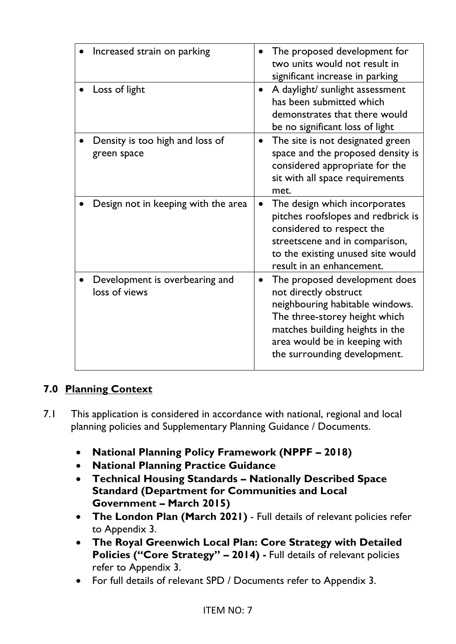| Increased strain on parking                     | The proposed development for<br>two units would not result in<br>significant increase in parking                                                                                                                                            |
|-------------------------------------------------|---------------------------------------------------------------------------------------------------------------------------------------------------------------------------------------------------------------------------------------------|
| Loss of light                                   | A daylight/ sunlight assessment<br>has been submitted which<br>demonstrates that there would<br>be no significant loss of light                                                                                                             |
| Density is too high and loss of<br>green space  | The site is not designated green<br>$\bullet$<br>space and the proposed density is<br>considered appropriate for the<br>sit with all space requirements<br>met.                                                                             |
| Design not in keeping with the area             | The design which incorporates<br>$\bullet$<br>pitches roofslopes and redbrick is<br>considered to respect the<br>streetscene and in comparison,<br>to the existing unused site would<br>result in an enhancement.                           |
| Development is overbearing and<br>loss of views | The proposed development does<br>$\bullet$<br>not directly obstruct<br>neighbouring habitable windows.<br>The three-storey height which<br>matches building heights in the<br>area would be in keeping with<br>the surrounding development. |

# **7.0 Planning Context**

- 7.1 This application is considered in accordance with national, regional and local planning policies and Supplementary Planning Guidance / Documents.
	- **National Planning Policy Framework (NPPF – 2018)**
	- **National Planning Practice Guidance**
	- **Technical Housing Standards – Nationally Described Space Standard (Department for Communities and Local Government – March 2015)**
	- **The London Plan (March 2021)** Full details of relevant policies refer to Appendix 3.
	- **The Royal Greenwich Local Plan: Core Strategy with Detailed Policies ("Core Strategy" – 2014) -** Full details of relevant policies refer to Appendix 3.
	- For full details of relevant SPD / Documents refer to Appendix 3.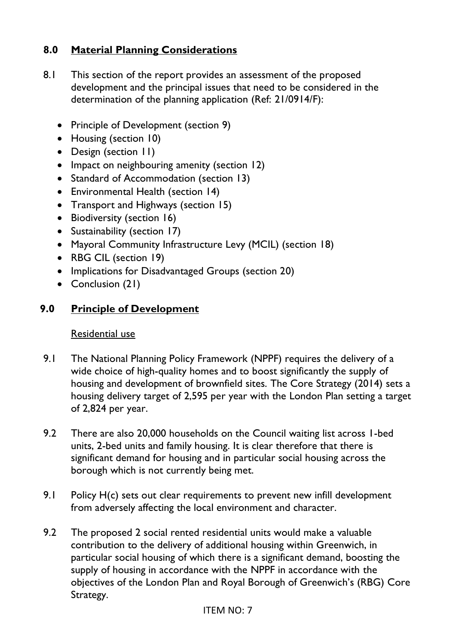# **8.0 Material Planning Considerations**

- 8.1 This section of the report provides an assessment of the proposed development and the principal issues that need to be considered in the determination of the planning application (Ref: 21/0914/F):
	- Principle of Development (section 9)
	- Housing (section 10)
	- Design (section 11)
	- Impact on neighbouring amenity (section 12)
	- Standard of Accommodation (section 13)
	- Environmental Health (section 14)
	- Transport and Highways (section 15)
	- Biodiversity (section 16)
	- Sustainability (section 17)
	- Mayoral Community Infrastructure Levy (MCIL) (section 18)
	- RBG CIL (section 19)
	- Implications for Disadvantaged Groups (section 20)
	- Conclusion (21)

#### **9.0 Principle of Development**

#### Residential use

- 9.1 The National Planning Policy Framework (NPPF) requires the delivery of a wide choice of high-quality homes and to boost significantly the supply of housing and development of brownfield sites. The Core Strategy (2014) sets a housing delivery target of 2,595 per year with the London Plan setting a target of 2,824 per year.
- 9.2 There are also 20,000 households on the Council waiting list across 1-bed units, 2-bed units and family housing. It is clear therefore that there is significant demand for housing and in particular social housing across the borough which is not currently being met.
- 9.1 Policy H(c) sets out clear requirements to prevent new infill development from adversely affecting the local environment and character.
- 9.2 The proposed 2 social rented residential units would make a valuable contribution to the delivery of additional housing within Greenwich, in particular social housing of which there is a significant demand, boosting the supply of housing in accordance with the NPPF in accordance with the objectives of the London Plan and Royal Borough of Greenwich's (RBG) Core Strategy.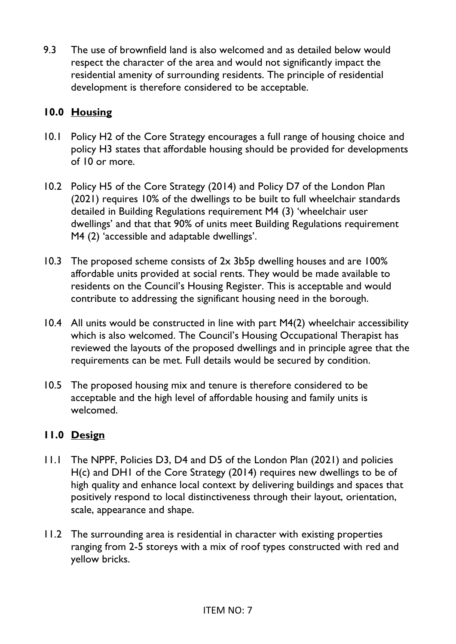9.3 The use of brownfield land is also welcomed and as detailed below would respect the character of the area and would not significantly impact the residential amenity of surrounding residents. The principle of residential development is therefore considered to be acceptable.

# **10.0 Housing**

- 10.1 Policy H2 of the Core Strategy encourages a full range of housing choice and policy H3 states that affordable housing should be provided for developments of 10 or more.
- 10.2 Policy H5 of the Core Strategy (2014) and Policy D7 of the London Plan (2021) requires 10% of the dwellings to be built to full wheelchair standards detailed in Building Regulations requirement M4 (3) 'wheelchair user dwellings' and that that 90% of units meet Building Regulations requirement M4 (2) 'accessible and adaptable dwellings'.
- 10.3 The proposed scheme consists of 2x 3b5p dwelling houses and are 100% affordable units provided at social rents. They would be made available to residents on the Council's Housing Register. This is acceptable and would contribute to addressing the significant housing need in the borough.
- 10.4 All units would be constructed in line with part M4(2) wheelchair accessibility which is also welcomed. The Council's Housing Occupational Therapist has reviewed the layouts of the proposed dwellings and in principle agree that the requirements can be met. Full details would be secured by condition.
- 10.5 The proposed housing mix and tenure is therefore considered to be acceptable and the high level of affordable housing and family units is welcomed.

# **11.0 Design**

- 11.1 The NPPF, Policies D3, D4 and D5 of the London Plan (2021) and policies H(c) and DH1 of the Core Strategy (2014) requires new dwellings to be of high quality and enhance local context by delivering buildings and spaces that positively respond to local distinctiveness through their layout, orientation, scale, appearance and shape.
- 11.2 The surrounding area is residential in character with existing properties ranging from 2-5 storeys with a mix of roof types constructed with red and yellow bricks.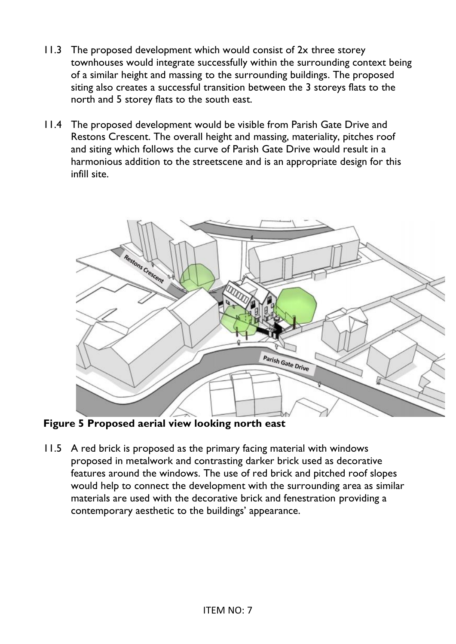- 11.3 The proposed development which would consist of 2x three storey townhouses would integrate successfully within the surrounding context being of a similar height and massing to the surrounding buildings. The proposed siting also creates a successful transition between the 3 storeys flats to the north and 5 storey flats to the south east.
- 11.4 The proposed development would be visible from Parish Gate Drive and Restons Crescent. The overall height and massing, materiality, pitches roof and siting which follows the curve of Parish Gate Drive would result in a harmonious addition to the streetscene and is an appropriate design for this infill site.



**Figure 5 Proposed aerial view looking north east** 

11.5 A red brick is proposed as the primary facing material with windows proposed in metalwork and contrasting darker brick used as decorative features around the windows. The use of red brick and pitched roof slopes would help to connect the development with the surrounding area as similar materials are used with the decorative brick and fenestration providing a contemporary aesthetic to the buildings' appearance.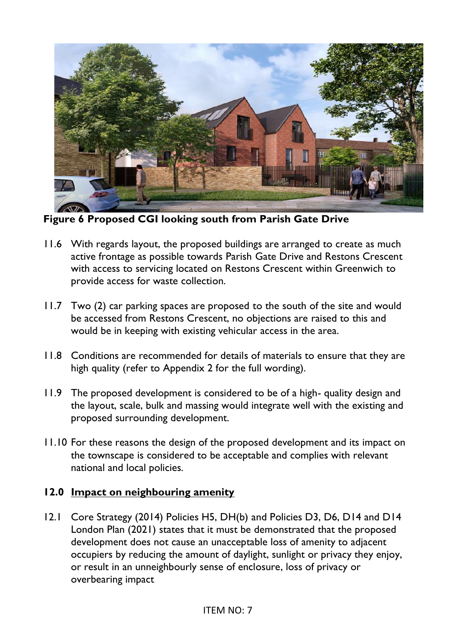

**Figure 6 Proposed CGI looking south from Parish Gate Drive** 

- 11.6 With regards layout, the proposed buildings are arranged to create as much active frontage as possible towards Parish Gate Drive and Restons Crescent with access to servicing located on Restons Crescent within Greenwich to provide access for waste collection.
- 11.7 Two (2) car parking spaces are proposed to the south of the site and would be accessed from Restons Crescent, no objections are raised to this and would be in keeping with existing vehicular access in the area.
- 11.8 Conditions are recommended for details of materials to ensure that they are high quality (refer to Appendix 2 for the full wording).
- 11.9 The proposed development is considered to be of a high- quality design and the layout, scale, bulk and massing would integrate well with the existing and proposed surrounding development.
- 11.10 For these reasons the design of the proposed development and its impact on the townscape is considered to be acceptable and complies with relevant national and local policies.

#### **12.0 Impact on neighbouring amenity**

12.1 Core Strategy (2014) Policies H5, DH(b) and Policies D3, D6, D14 and D14 London Plan (2021) states that it must be demonstrated that the proposed development does not cause an unacceptable loss of amenity to adjacent occupiers by reducing the amount of daylight, sunlight or privacy they enjoy, or result in an unneighbourly sense of enclosure, loss of privacy or overbearing impact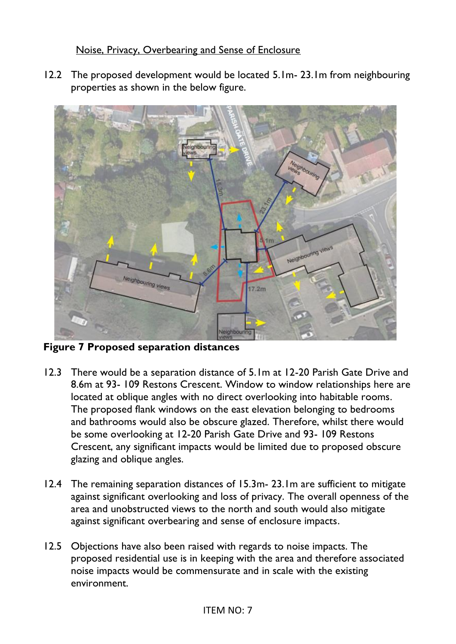## Noise, Privacy, Overbearing and Sense of Enclosure

12.2 The proposed development would be located 5.1m- 23.1m from neighbouring properties as shown in the below figure.



**Figure 7 Proposed separation distances** 

- 12.3 There would be a separation distance of 5.1m at 12-20 Parish Gate Drive and 8.6m at 93- 109 Restons Crescent. Window to window relationships here are located at oblique angles with no direct overlooking into habitable rooms. The proposed flank windows on the east elevation belonging to bedrooms and bathrooms would also be obscure glazed. Therefore, whilst there would be some overlooking at 12-20 Parish Gate Drive and 93- 109 Restons Crescent, any significant impacts would be limited due to proposed obscure glazing and oblique angles.
- 12.4 The remaining separation distances of 15.3m- 23.1m are sufficient to mitigate against significant overlooking and loss of privacy. The overall openness of the area and unobstructed views to the north and south would also mitigate against significant overbearing and sense of enclosure impacts.
- 12.5 Objections have also been raised with regards to noise impacts. The proposed residential use is in keeping with the area and therefore associated noise impacts would be commensurate and in scale with the existing environment.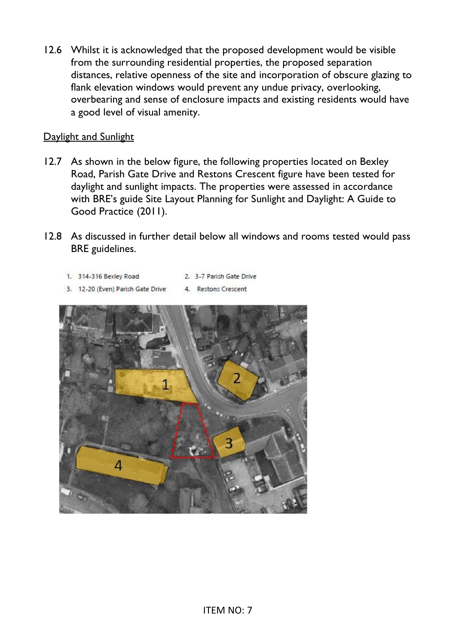12.6 Whilst it is acknowledged that the proposed development would be visible from the surrounding residential properties, the proposed separation distances, relative openness of the site and incorporation of obscure glazing to flank elevation windows would prevent any undue privacy, overlooking, overbearing and sense of enclosure impacts and existing residents would have a good level of visual amenity.

#### Daylight and Sunlight

- 12.7 As shown in the below figure, the following properties located on Bexley Road, Parish Gate Drive and Restons Crescent figure have been tested for daylight and sunlight impacts. The properties were assessed in accordance with BRE's guide Site Layout Planning for Sunlight and Daylight: A Guide to Good Practice (2011).
- 12.8 As discussed in further detail below all windows and rooms tested would pass BRE guidelines.
	- 1. 314-316 Bexley Road 2. 3-7 Parish Gate Drive
	- 3. 12-20 (Even) Parish Gate Drive 4. Restons Crescent

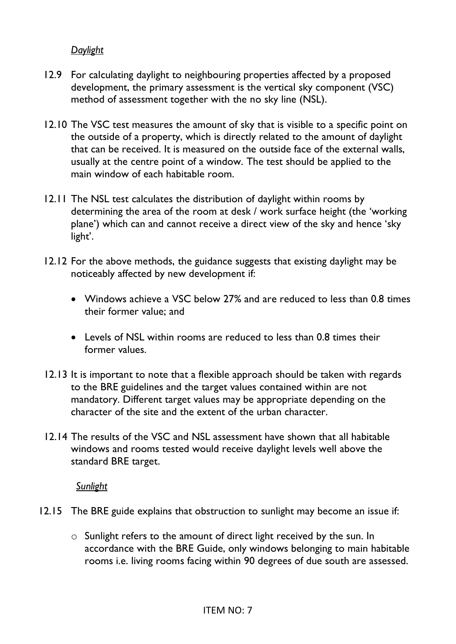#### *Daylight*

- 12.9 For calculating daylight to neighbouring properties affected by a proposed development, the primary assessment is the vertical sky component (VSC) method of assessment together with the no sky line (NSL).
- 12.10 The VSC test measures the amount of sky that is visible to a specific point on the outside of a property, which is directly related to the amount of daylight that can be received. It is measured on the outside face of the external walls, usually at the centre point of a window. The test should be applied to the main window of each habitable room.
- 12.11 The NSL test calculates the distribution of daylight within rooms by determining the area of the room at desk / work surface height (the 'working plane') which can and cannot receive a direct view of the sky and hence 'sky light'.
- 12.12 For the above methods, the guidance suggests that existing daylight may be noticeably affected by new development if:
	- Windows achieve a VSC below 27% and are reduced to less than 0.8 times their former value; and
	- Levels of NSL within rooms are reduced to less than 0.8 times their former values.
- 12.13 It is important to note that a flexible approach should be taken with regards to the BRE guidelines and the target values contained within are not mandatory. Different target values may be appropriate depending on the character of the site and the extent of the urban character.
- 12.14 The results of the VSC and NSL assessment have shown that all habitable windows and rooms tested would receive daylight levels well above the standard BRE target.

 *Sunlight* 

- 12.15 The BRE guide explains that obstruction to sunlight may become an issue if:
	- o Sunlight refers to the amount of direct light received by the sun. In accordance with the BRE Guide, only windows belonging to main habitable rooms i.e. living rooms facing within 90 degrees of due south are assessed.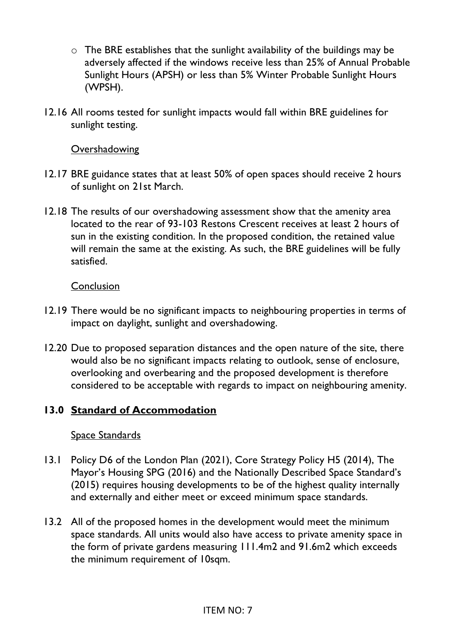- $\circ$  The BRE establishes that the sunlight availability of the buildings may be adversely affected if the windows receive less than 25% of Annual Probable Sunlight Hours (APSH) or less than 5% Winter Probable Sunlight Hours (WPSH).
- 12.16 All rooms tested for sunlight impacts would fall within BRE guidelines for sunlight testing.

#### **Overshadowing**

- 12.17 BRE guidance states that at least 50% of open spaces should receive 2 hours of sunlight on 21st March.
- 12.18 The results of our overshadowing assessment show that the amenity area located to the rear of 93-103 Restons Crescent receives at least 2 hours of sun in the existing condition. In the proposed condition, the retained value will remain the same at the existing. As such, the BRE guidelines will be fully satisfied.

#### **Conclusion**

- 12.19 There would be no significant impacts to neighbouring properties in terms of impact on daylight, sunlight and overshadowing.
- 12.20 Due to proposed separation distances and the open nature of the site, there would also be no significant impacts relating to outlook, sense of enclosure, overlooking and overbearing and the proposed development is therefore considered to be acceptable with regards to impact on neighbouring amenity.

### **13.0 Standard of Accommodation**

### Space Standards

- 13.1 Policy D6 of the London Plan (2021), Core Strategy Policy H5 (2014), The Mayor's Housing SPG (2016) and the Nationally Described Space Standard's (2015) requires housing developments to be of the highest quality internally and externally and either meet or exceed minimum space standards.
- 13.2 All of the proposed homes in the development would meet the minimum space standards. All units would also have access to private amenity space in the form of private gardens measuring 111.4m2 and 91.6m2 which exceeds the minimum requirement of 10sqm.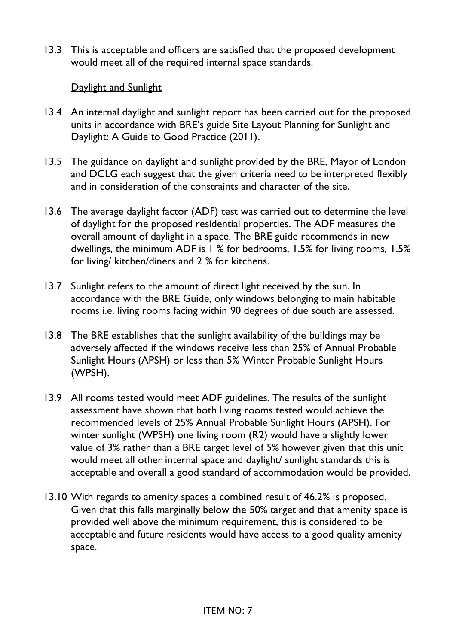13.3 This is acceptable and officers are satisfied that the proposed development would meet all of the required internal space standards.

### Daylight and Sunlight

- 13.4 An internal daylight and sunlight report has been carried out for the proposed units in accordance with BRE's guide Site Layout Planning for Sunlight and Daylight: A Guide to Good Practice (2011).
- 13.5 The guidance on daylight and sunlight provided by the BRE, Mayor of London and DCLG each suggest that the given criteria need to be interpreted flexibly and in consideration of the constraints and character of the site.
- 13.6 The average daylight factor (ADF) test was carried out to determine the level of daylight for the proposed residential properties. The ADF measures the overall amount of daylight in a space. The BRE guide recommends in new dwellings, the minimum ADF is 1 % for bedrooms, 1.5% for living rooms, 1.5% for living/ kitchen/diners and 2 % for kitchens.
- 13.7 Sunlight refers to the amount of direct light received by the sun. In accordance with the BRE Guide, only windows belonging to main habitable rooms i.e. living rooms facing within 90 degrees of due south are assessed.
- 13.8 The BRE establishes that the sunlight availability of the buildings may be adversely affected if the windows receive less than 25% of Annual Probable Sunlight Hours (APSH) or less than 5% Winter Probable Sunlight Hours (WPSH).
- 13.9 All rooms tested would meet ADF guidelines. The results of the sunlight assessment have shown that both living rooms tested would achieve the recommended levels of 25% Annual Probable Sunlight Hours (APSH). For winter sunlight (WPSH) one living room (R2) would have a slightly lower value of 3% rather than a BRE target level of 5% however given that this unit would meet all other internal space and daylight/ sunlight standards this is acceptable and overall a good standard of accommodation would be provided.
- 13.10 With regards to amenity spaces a combined result of 46.2% is proposed. Given that this falls marginally below the 50% target and that amenity space is provided well above the minimum requirement, this is considered to be acceptable and future residents would have access to a good quality amenity space.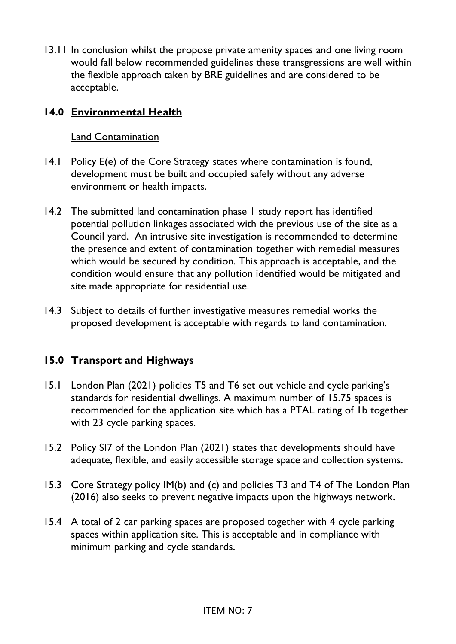13.11 In conclusion whilst the propose private amenity spaces and one living room would fall below recommended guidelines these transgressions are well within the flexible approach taken by BRE guidelines and are considered to be acceptable.

# **14.0 Environmental Health**

### Land Contamination

- 14.1 Policy E(e) of the Core Strategy states where contamination is found, development must be built and occupied safely without any adverse environment or health impacts.
- 14.2 The submitted land contamination phase 1 study report has identified potential pollution linkages associated with the previous use of the site as a Council yard. An intrusive site investigation is recommended to determine the presence and extent of contamination together with remedial measures which would be secured by condition. This approach is acceptable, and the condition would ensure that any pollution identified would be mitigated and site made appropriate for residential use.
- 14.3 Subject to details of further investigative measures remedial works the proposed development is acceptable with regards to land contamination.

# **15.0 Transport and Highways**

- 15.1 London Plan (2021) policies T5 and T6 set out vehicle and cycle parking's standards for residential dwellings. A maximum number of 15.75 spaces is recommended for the application site which has a PTAL rating of 1b together with 23 cycle parking spaces.
- 15.2 Policy SI7 of the London Plan (2021) states that developments should have adequate, flexible, and easily accessible storage space and collection systems.
- 15.3 Core Strategy policy IM(b) and (c) and policies T3 and T4 of The London Plan (2016) also seeks to prevent negative impacts upon the highways network.
- 15.4 A total of 2 car parking spaces are proposed together with 4 cycle parking spaces within application site. This is acceptable and in compliance with minimum parking and cycle standards.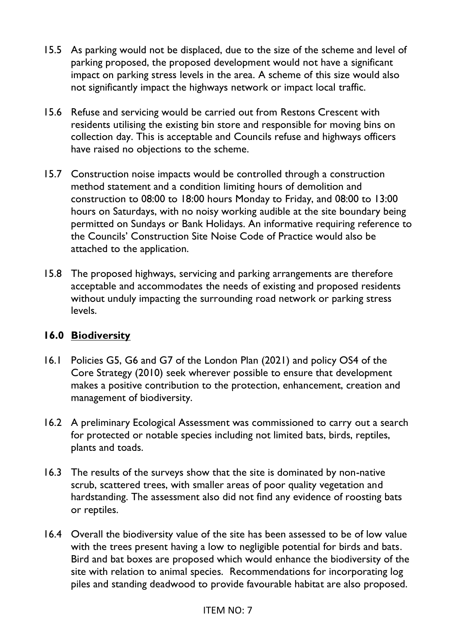- 15.5 As parking would not be displaced, due to the size of the scheme and level of parking proposed, the proposed development would not have a significant impact on parking stress levels in the area. A scheme of this size would also not significantly impact the highways network or impact local traffic.
- 15.6 Refuse and servicing would be carried out from Restons Crescent with residents utilising the existing bin store and responsible for moving bins on collection day. This is acceptable and Councils refuse and highways officers have raised no objections to the scheme.
- 15.7 Construction noise impacts would be controlled through a construction method statement and a condition limiting hours of demolition and construction to 08:00 to 18:00 hours Monday to Friday, and 08:00 to 13:00 hours on Saturdays, with no noisy working audible at the site boundary being permitted on Sundays or Bank Holidays. An informative requiring reference to the Councils' Construction Site Noise Code of Practice would also be attached to the application.
- 15.8 The proposed highways, servicing and parking arrangements are therefore acceptable and accommodates the needs of existing and proposed residents without unduly impacting the surrounding road network or parking stress levels.

### **16.0 Biodiversity**

- 16.1 Policies G5, G6 and G7 of the London Plan (2021) and policy OS4 of the Core Strategy (2010) seek wherever possible to ensure that development makes a positive contribution to the protection, enhancement, creation and management of biodiversity.
- 16.2 A preliminary Ecological Assessment was commissioned to carry out a search for protected or notable species including not limited bats, birds, reptiles, plants and toads.
- 16.3 The results of the surveys show that the site is dominated by non-native scrub, scattered trees, with smaller areas of poor quality vegetation and hardstanding. The assessment also did not find any evidence of roosting bats or reptiles.
- 16.4 Overall the biodiversity value of the site has been assessed to be of low value with the trees present having a low to negligible potential for birds and bats. Bird and bat boxes are proposed which would enhance the biodiversity of the site with relation to animal species. Recommendations for incorporating log piles and standing deadwood to provide favourable habitat are also proposed.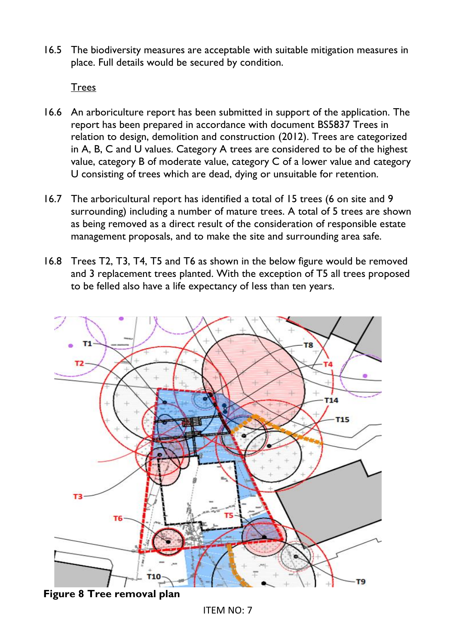16.5 The biodiversity measures are acceptable with suitable mitigation measures in place. Full details would be secured by condition.

**Trees** 

- 16.6 An arboriculture report has been submitted in support of the application. The report has been prepared in accordance with document BS5837 Trees in relation to design, demolition and construction (2012). Trees are categorized in A, B, C and U values. Category A trees are considered to be of the highest value, category B of moderate value, category C of a lower value and category U consisting of trees which are dead, dying or unsuitable for retention.
- 16.7 The arboricultural report has identified a total of 15 trees (6 on site and 9 surrounding) including a number of mature trees. A total of 5 trees are shown as being removed as a direct result of the consideration of responsible estate management proposals, and to make the site and surrounding area safe.
- 16.8 Trees T2, T3, T4, T5 and T6 as shown in the below figure would be removed and 3 replacement trees planted. With the exception of T5 all trees proposed to be felled also have a life expectancy of less than ten years.



**Figure 8 Tree removal plan** 

ITEM NO: 7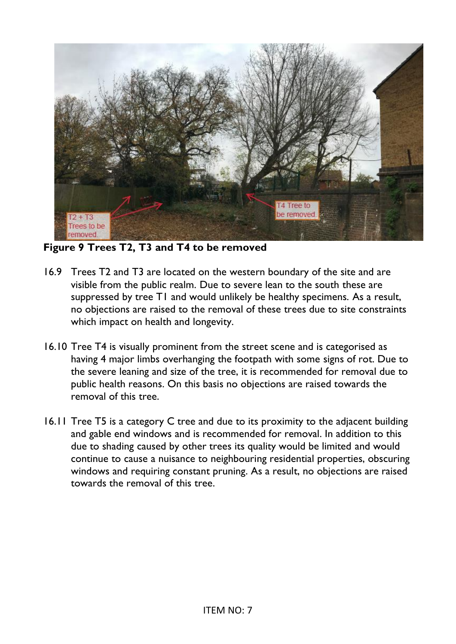

**Figure 9 Trees T2, T3 and T4 to be removed** 

- 16.9 Trees T2 and T3 are located on the western boundary of the site and are visible from the public realm. Due to severe lean to the south these are suppressed by tree T1 and would unlikely be healthy specimens. As a result, no objections are raised to the removal of these trees due to site constraints which impact on health and longevity.
- 16.10 Tree T4 is visually prominent from the street scene and is categorised as having 4 major limbs overhanging the footpath with some signs of rot. Due to the severe leaning and size of the tree, it is recommended for removal due to public health reasons. On this basis no objections are raised towards the removal of this tree.
- 16.11 Tree T5 is a category C tree and due to its proximity to the adjacent building and gable end windows and is recommended for removal. In addition to this due to shading caused by other trees its quality would be limited and would continue to cause a nuisance to neighbouring residential properties, obscuring windows and requiring constant pruning. As a result, no objections are raised towards the removal of this tree.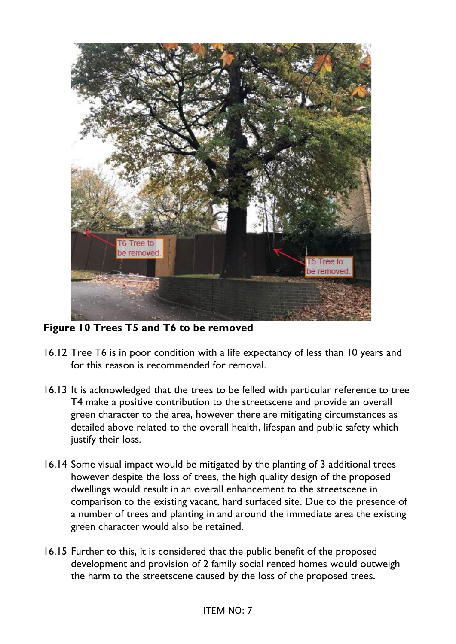

**Figure 10 Trees T5 and T6 to be removed** 

- 16.12 Tree T6 is in poor condition with a life expectancy of less than 10 years and for this reason is recommended for removal.
- 16.13 It is acknowledged that the trees to be felled with particular reference to tree T4 make a positive contribution to the streetscene and provide an overall green character to the area, however there are mitigating circumstances as detailed above related to the overall health, lifespan and public safety which justify their loss.
- 16.14 Some visual impact would be mitigated by the planting of 3 additional trees however despite the loss of trees, the high quality design of the proposed dwellings would result in an overall enhancement to the streetscene in comparison to the existing vacant, hard surfaced site. Due to the presence of a number of trees and planting in and around the immediate area the existing green character would also be retained.
- 16.15 Further to this, it is considered that the public benefit of the proposed development and provision of 2 family social rented homes would outweigh the harm to the streetscene caused by the loss of the proposed trees.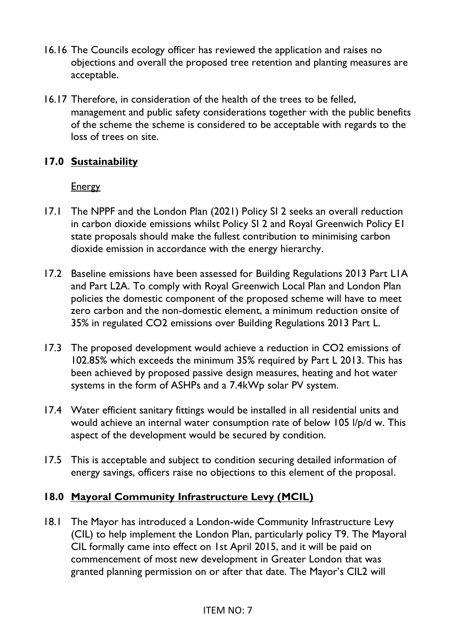- 16.16 The Councils ecology officer has reviewed the application and raises no objections and overall the proposed tree retention and planting measures are acceptable.
- 16.17 Therefore, in consideration of the health of the trees to be felled, management and public safety considerations together with the public benefits of the scheme the scheme is considered to be acceptable with regards to the loss of trees on site.

# **17.0 Sustainability**

### **Energy**

- 17.1 The NPPF and the London Plan (2021) Policy SI 2 seeks an overall reduction in carbon dioxide emissions whilst Policy SI 2 and Royal Greenwich Policy E1 state proposals should make the fullest contribution to minimising carbon dioxide emission in accordance with the energy hierarchy.
- 17.2 Baseline emissions have been assessed for Building Regulations 2013 Part L1A and Part L2A. To comply with Royal Greenwich Local Plan and London Plan policies the domestic component of the proposed scheme will have to meet zero carbon and the non-domestic element, a minimum reduction onsite of 35% in regulated CO2 emissions over Building Regulations 2013 Part L.
- 17.3 The proposed development would achieve a reduction in CO2 emissions of 102.85% which exceeds the minimum 35% required by Part L 2013. This has been achieved by proposed passive design measures, heating and hot water systems in the form of ASHPs and a 7.4kWp solar PV system.
- 17.4 Water efficient sanitary fittings would be installed in all residential units and would achieve an internal water consumption rate of below 105 l/p/d w. This aspect of the development would be secured by condition.
- 17.5 This is acceptable and subject to condition securing detailed information of energy savings, officers raise no objections to this element of the proposal.

# **18.0 Mayoral Community Infrastructure Levy (MCIL)**

18.1 The Mayor has introduced a London-wide Community Infrastructure Levy (CIL) to help implement the London Plan, particularly policy T9. The Mayoral CIL formally came into effect on 1st April 2015, and it will be paid on commencement of most new development in Greater London that was granted planning permission on or after that date. The Mayor's CIL2 will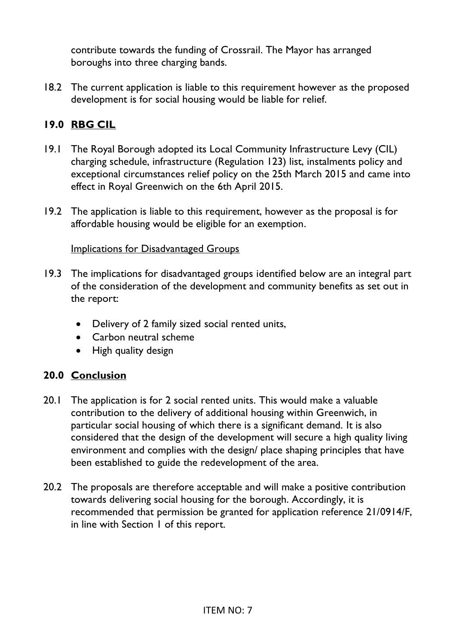contribute towards the funding of Crossrail. The Mayor has arranged boroughs into three charging bands.

18.2 The current application is liable to this requirement however as the proposed development is for social housing would be liable for relief.

# **19.0 RBG CIL**

- 19.1 The Royal Borough adopted its Local Community Infrastructure Levy (CIL) charging schedule, infrastructure (Regulation 123) list, instalments policy and exceptional circumstances relief policy on the 25th March 2015 and came into effect in Royal Greenwich on the 6th April 2015.
- 19.2 The application is liable to this requirement, however as the proposal is for affordable housing would be eligible for an exemption.

#### Implications for Disadvantaged Groups

- 19.3 The implications for disadvantaged groups identified below are an integral part of the consideration of the development and community benefits as set out in the report:
	- Delivery of 2 family sized social rented units,
	- Carbon neutral scheme
	- High quality design

### **20.0 Conclusion**

- 20.1 The application is for 2 social rented units. This would make a valuable contribution to the delivery of additional housing within Greenwich, in particular social housing of which there is a significant demand. It is also considered that the design of the development will secure a high quality living environment and complies with the design/ place shaping principles that have been established to guide the redevelopment of the area.
- 20.2 The proposals are therefore acceptable and will make a positive contribution towards delivering social housing for the borough. Accordingly, it is recommended that permission be granted for application reference 21/0914/F, in line with Section 1 of this report.